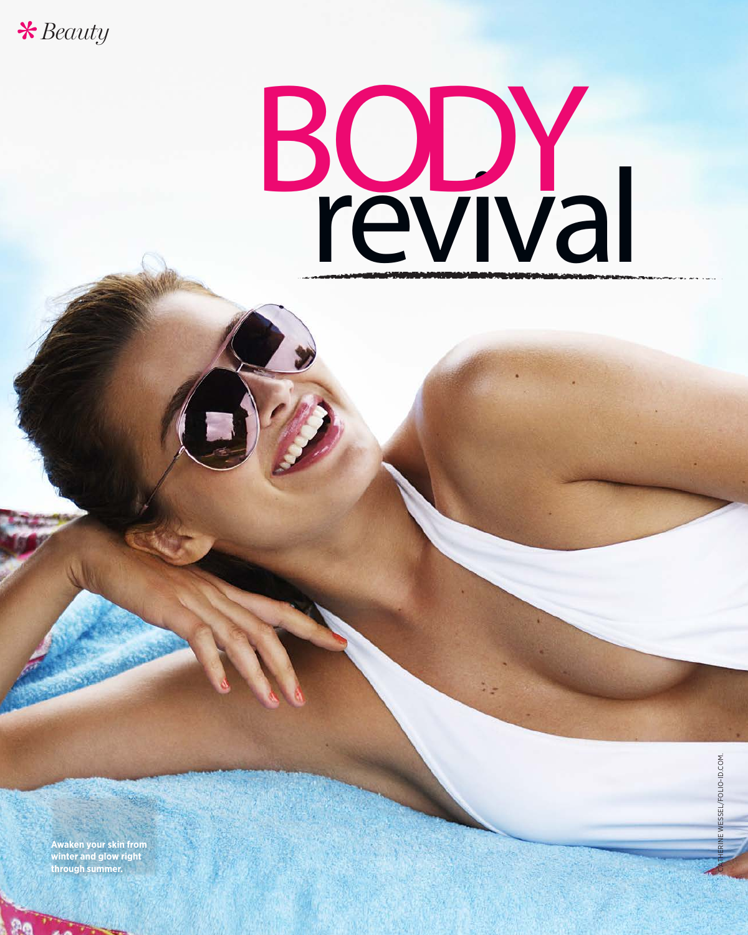

# revival BODY

**Awaken your skin from winter and glow right through summer.**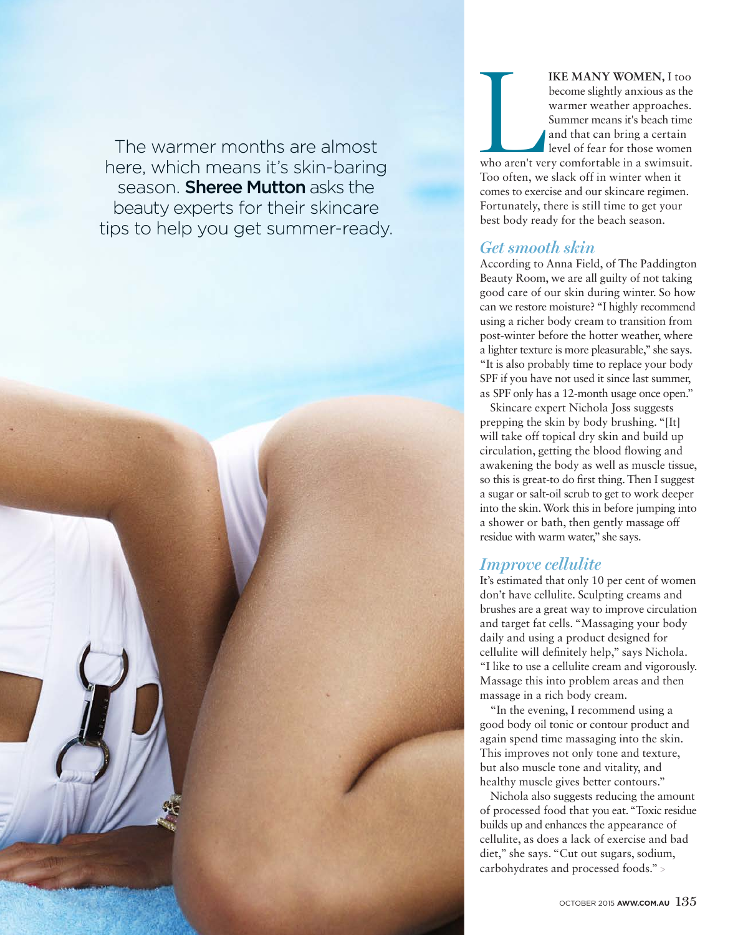The warmer months are almost<br>here, which means it's skin-baring<br>season. **Sheree Mutton** asks the<br>beauty experts for their skincare here, which means it's skin-baring season. Sheree Mutton asks the beauty experts for their skincare tips to help you get summer-ready. IKE MANY WOMEN, I too<br>become slightly anxious as the<br>warmer weather approaches.<br>Summer means it's beach time<br>and that can bring a certain<br>level of fear for those women<br>who aren't very comfortable in a swimsuit. become slightly anxious as the warmer weather approaches. Summer means it's beach time and that can bring a certain level of fear for those women who aren't very comfortable in a swimsuit. Too often, we slack off in winter when it comes to exercise and our skincare regimen. Fortunately, there is still time to get your best body ready for the beach season.

# *Get smooth skin*

According to Anna Field, of The Paddington Beauty Room, we are all guilty of not taking good care of our skin during winter. So how can we restore moisture? "I highly recommend using a richer body cream to transition from post-winter before the hotter weather, where a lighter texture is more pleasurable," she says. "It is also probably time to replace your body SPF if you have not used it since last summer, as SPF only has a 12-month usage once open."

Skincare expert Nichola Joss suggests prepping the skin by body brushing. "[It] will take off topical dry skin and build up circulation, getting the blood flowing and awakening the body as well as muscle tissue, so this is great-to do first thing. Then I suggest a sugar or salt-oil scrub to get to work deeper into the skin. Work this in before jumping into a shower or bath, then gently massage off residue with warm water," she says.

## *Improve cellulite*

It's estimated that only 10 per cent of women don't have cellulite. Sculpting creams and brushes are a great way to improve circulation and target fat cells. "Massaging your body daily and using a product designed for cellulite will definitely help," says Nichola. "I like to use a cellulite cream and vigorously. Massage this into problem areas and then massage in a rich body cream.

"In the evening, I recommend using a good body oil tonic or contour product and again spend time massaging into the skin. This improves not only tone and texture, but also muscle tone and vitality, and healthy muscle gives better contours."

Nichola also suggests reducing the amount of processed food that you eat. "Toxic residue builds up and enhances the appearance of cellulite, as does a lack of exercise and bad diet," she says. "Cut out sugars, sodium, carbohydrates and processed foods." >